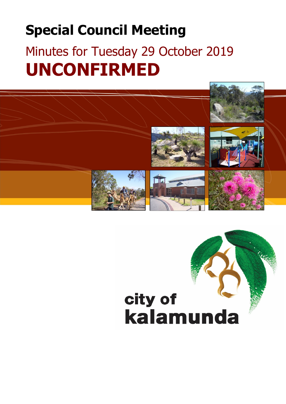# **Special Council Meeting**

# Minutes for Tuesday 29 October 2019 **UNCONFIRMED**

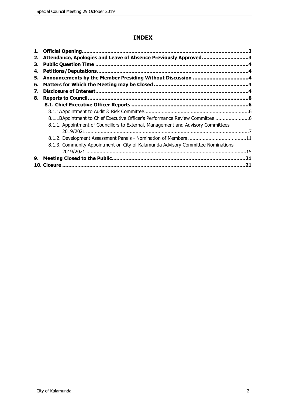# **INDEX**

| 2. | Attendance, Apologies and Leave of Absence Previously Approved3                   |     |
|----|-----------------------------------------------------------------------------------|-----|
| З. |                                                                                   |     |
| 4. | <b>Petitions/Deputations.</b>                                                     |     |
| 5. |                                                                                   |     |
| 6. |                                                                                   |     |
| 7. |                                                                                   |     |
| 8. |                                                                                   |     |
|    |                                                                                   |     |
|    |                                                                                   |     |
|    |                                                                                   |     |
|    | 8.1.1. Appointment of Councillors to External, Management and Advisory Committees |     |
|    |                                                                                   |     |
|    |                                                                                   |     |
|    | 8.1.3. Community Appointment on City of Kalamunda Advisory Committee Nominations  |     |
|    |                                                                                   |     |
| 9. |                                                                                   | .21 |
|    |                                                                                   | -21 |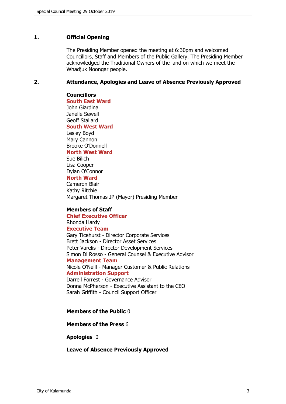# <span id="page-2-0"></span>**1. Official Opening**

The Presiding Member opened the meeting at 6:30pm and welcomed Councillors, Staff and Members of the Public Gallery. The Presiding Member acknowledged the Traditional Owners of the land on which we meet the Whadjuk Noongar people.

## <span id="page-2-1"></span>**2. Attendance, Apologies and Leave of Absence Previously Approved**

**Councillors South East Ward**  John Giardina Janelle Sewell Geoff Stallard **South West Ward** Lesley Boyd Mary Cannon Brooke O'Donnell

# **North West Ward**

Sue Bilich Lisa Cooper Dylan O'Connor **North Ward**

Cameron Blair Kathy Ritchie Margaret Thomas JP (Mayor) Presiding Member

# **Members of Staff**

**Chief Executive Officer** Rhonda Hardy **Executive Team** Gary Ticehurst - Director Corporate Services Brett Jackson - Director Asset Services Peter Varelis - Director Development Services Simon Di Rosso - General Counsel & Executive Advisor **Management Team** Nicole O'Neill - Manager Customer & Public Relations **Administration Support** Darrell Forrest - Governance Advisor

Donna McPherson - Executive Assistant to the CEO Sarah Griffith - Council Support Officer

#### **Members of the Public** 0

# **Members of the Press** 6

**Apologies** 0

**Leave of Absence Previously Approved**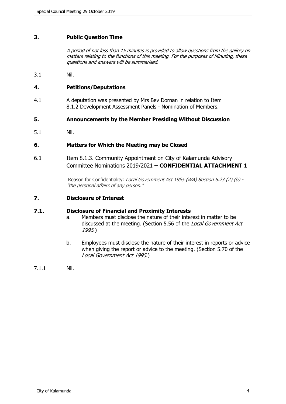# <span id="page-3-0"></span>**3. Public Question Time**

*A period of not less than 15 minutes is provided to allow questions from the gallery on matters relating to the functions of this meeting. For the purposes of Minuting, these questions and answers will be summarised.*

3.1 Nil.

# <span id="page-3-1"></span>**4. Petitions/Deputations**

4.1 A deputation was presented by Mrs Bev Dornan in relation to Item 8.1.2 Development Assessment Panels - Nomination of Members.

## <span id="page-3-2"></span>**5. Announcements by the Member Presiding Without Discussion**

5.1 Nil.

# <span id="page-3-3"></span>**6. Matters for Which the Meeting may be Closed**

6.1 Item 8.1.3. Community Appointment on City of Kalamunda Advisory [Committee Nominations 2019/2021](#page-14-0) **– CONFIDENTIAL ATTACHMENT 1**

> Reason for Confidentiality: *Local Government Act 1995 (WA) Section 5.23 (2) (b) - "the personal affairs of any person."*

# <span id="page-3-4"></span>**7. Disclosure of Interest**

#### **7.1. Disclosure of Financial and Proximity Interests**

- a. Members must disclose the nature of their interest in matter to be discussed at the meeting. (Section 5.56 of the *Local Government Act 1995*.)
- b. Employees must disclose the nature of their interest in reports or advice when giving the report or advice to the meeting. (Section 5.70 of the *Local Government Act 1995*.)
- 7.1.1 Nil.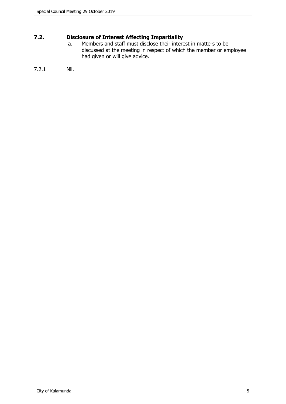# **7.2. Disclosure of Interest Affecting Impartiality**

a. Members and staff must disclose their interest in matters to be discussed at the meeting in respect of which the member or employee had given or will give advice.

# 7.2.1 Nil.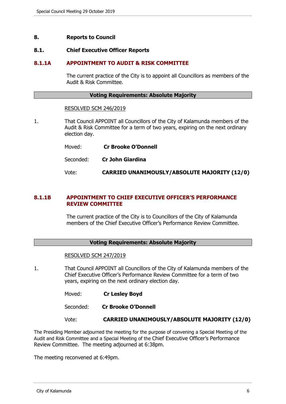## <span id="page-5-0"></span>**8. Reports to Council**

#### <span id="page-5-1"></span>**8.1. Chief Executive Officer Reports**

## **8.1.1A APPOINTMENT TO AUDIT & RISK COMMITTEE**

The current practice of the City is to appoint all Councillors as members of the Audit & Risk Committee.

#### **Voting Requirements: Absolute Majority**

#### RESOLVED SCM 246/2019

- 1. That Council APPOINT all Councillors of the City of Kalamunda members of the Audit & Risk Committee for a term of two years, expiring on the next ordinary election day.
	- Moved: **Cr Brooke O'Donnell**
	- Seconded: **Cr John Giardina**

Vote: **CARRIED UNANIMOUSLY/ABSOLUTE MAJORITY (12/0)**

# **8.1.1B APPOINTMENT TO CHIEF EXECUTIVE OFFICER'S PERFORMANCE REVIEW COMMITTEE**

The current practice of the City is to Councillors of the City of Kalamunda members of the Chief Executive Officer's Performance Review Committee.

#### **Voting Requirements: Absolute Majority**

#### RESOLVED SCM 247/2019

1. That Council APPOINT all Councillors of the City of Kalamunda members of the Chief Executive Officer's Performance Review Committee for a term of two years, expiring on the next ordinary election day.

| Moved: |  | <b>Cr Lesley Boyd</b> |  |  |
|--------|--|-----------------------|--|--|
|--------|--|-----------------------|--|--|

Seconded: **Cr Brooke O'Donnell**

#### Vote: **CARRIED UNANIMOUSLY/ABSOLUTE MAJORITY (12/0)**

The Presiding Member adjourned the meeting for the purpose of convening a Special Meeting of the Audit and Risk Committee and a Special Meeting of the Chief Executive Officer's Performance Review Committee. The meeting adjourned at 6:38pm.

The meeting reconvened at 6:49pm.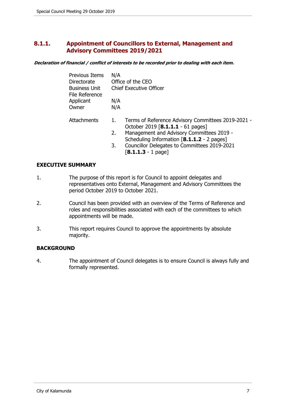# <span id="page-6-0"></span>**8.1.1. Appointment of Councillors to External, Management and Advisory Committees 2019/2021**

*Declaration of financial / conflict of interests to be recorded prior to dealing with each item.*

| <b>Previous Items</b><br>Directorate<br><b>Business Unit</b><br>File Reference<br>Applicant<br>Owner | N/A<br>N/A<br>N/A | Office of the CEO<br><b>Chief Executive Officer</b>                                                                                                                                                                                                        |  |
|------------------------------------------------------------------------------------------------------|-------------------|------------------------------------------------------------------------------------------------------------------------------------------------------------------------------------------------------------------------------------------------------------|--|
| Attachments                                                                                          | 1.<br>2.<br>3.    | Terms of Reference Advisory Committees 2019-2021 -<br>October 2019 [8.1.1.1 - 61 pages]<br>Management and Advisory Committees 2019 -<br>Scheduling Information [8.1.1.2 - 2 pages]<br>Councillor Delegates to Committees 2019-2021<br>$[8.1.1.3 - 1$ page] |  |

# **EXECUTIVE SUMMARY**

- 1. The purpose of this report is for Council to appoint delegates and representatives onto External, Management and Advisory Committees the period October 2019 to October 2021.
- 2. Council has been provided with an overview of the Terms of Reference and roles and responsibilities associated with each of the committees to which appointments will be made.
- 3. This report requires Council to approve the appointments by absolute majority.

# **BACKGROUND**

4. The appointment of Council delegates is to ensure Council is always fully and formally represented.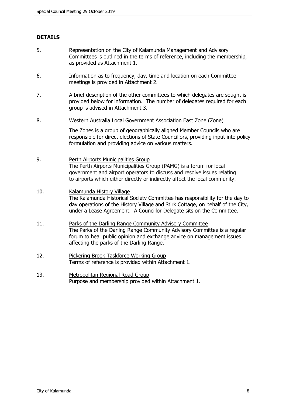# **DETAILS**

- 5. Representation on the City of Kalamunda Management and Advisory Committees is outlined in the terms of reference, including the membership, as provided as Attachment 1.
- 6. Information as to frequency, day, time and location on each Committee meetings is provided in Attachment 2.
- 7. A brief description of the other committees to which delegates are sought is provided below for information. The number of delegates required for each group is advised in Attachment 3.
- 8. Western Australia Local Government Association East Zone (Zone)

The Zones is a group of geographically aligned Member Councils who are responsible for direct elections of State Councillors, providing input into policy formulation and providing advice on various matters.

# 9. Perth Airports Municipalities Group The Perth Airports Municipalities Group (PAMG) is a forum for local government and airport operators to discuss and resolve issues relating to airports which either directly or indirectly affect the local community.

# 10. Kalamunda History Village The Kalamunda Historical Society Committee has responsibility for the day to day operations of the History Village and Stirk Cottage, on behalf of the City, under a Lease Agreement. A Councillor Delegate sits on the Committee.

- 11. Parks of the Darling Range Community Advisory Committee The Parks of the Darling Range Community Advisory Committee is a regular forum to hear public opinion and exchange advice on management issues affecting the parks of the Darling Range.
- 12. Pickering Brook Taskforce Working Group Terms of reference is provided within Attachment 1.
- 13. Metropolitan Regional Road Group Purpose and membership provided within Attachment 1.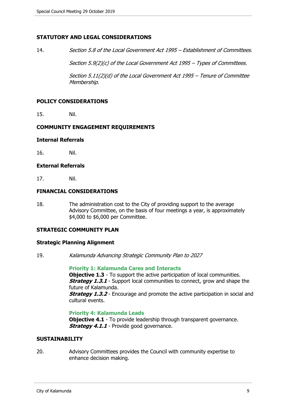# **STATUTORY AND LEGAL CONSIDERATIONS**

14. *Section 5.8 of the Local Government Act 1995 – Establishment of Committees.*

*Section 5.9(2)(c) of the Local Government Act 1995 – Types of Committees.*

*Section 5.11(2)(d) of the Local Government Act 1995 – Tenure of Committee Membership.*

#### **POLICY CONSIDERATIONS**

15. Nil.

#### **COMMUNITY ENGAGEMENT REQUIREMENTS**

#### **Internal Referrals**

16. Nil.

# **External Referrals**

17. Nil.

## **FINANCIAL CONSIDERATIONS**

18. The administration cost to the City of providing support to the average Advisory Committee, on the basis of four meetings a year, is approximately \$4,000 to \$6,000 per Committee.

# **STRATEGIC COMMUNITY PLAN**

#### **Strategic Planning Alignment**

19. *Kalamunda Advancing Strategic Community Plan to 2027*

**Priority 1: Kalamunda Cares and Interacts Objective 1.3** - To support the active participation of local communities. **Strategy 1.3.1** - Support local communities to connect, grow and shape the future of Kalamunda. **Strategy 1.3.2** - Encourage and promote the active participation in social and cultural events.

#### **Priority 4: Kalamunda Leads**

**Objective 4.1** - To provide leadership through transparent governance. **Strategy 4.1.1** - Provide good governance.

# **SUSTAINABILITY**

20. Advisory Committees provides the Council with community expertise to enhance decision making.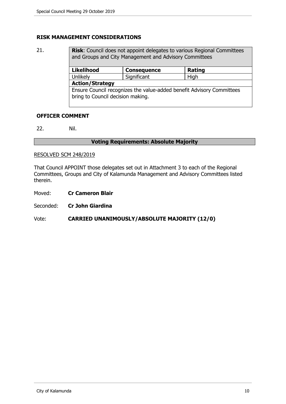# **RISK MANAGEMENT CONSIDERATIONS**

21. **Risk**: Council does not appoint delegates to various Regional Committees and Groups and City Management and Advisory Committees **Likelihood Consequence Rating** Unlikely | Significant | High **Action/Strategy** Ensure Council recognizes the value-added benefit Advisory Committees bring to Council decision making.

# **OFFICER COMMENT**

22. Nil.

# **Voting Requirements: Absolute Majority**

## RESOLVED SCM 248/2019

That Council APPOINT those delegates set out in Attachment 3 to each of the Regional Committees, Groups and City of Kalamunda Management and Advisory Committees listed therein.

- Moved: **Cr Cameron Blair**
- Seconded: **Cr John Giardina**

# Vote: **CARRIED UNANIMOUSLY/ABSOLUTE MAJORITY (12/0)**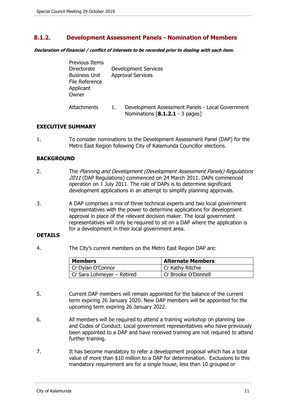# <span id="page-10-0"></span>**8.1.2. Development Assessment Panels - Nomination of Members**

*Declaration of financial / conflict of interests to be recorded prior to dealing with each item.*

| Previous Items<br>Directorate<br><b>Business Unit</b><br>File Reference<br>Applicant<br>Owner |    | <b>Development Services</b><br><b>Approval Services</b>                             |
|-----------------------------------------------------------------------------------------------|----|-------------------------------------------------------------------------------------|
| Attachments                                                                                   | 1. | Development Assessment Panels - Local Government<br>Nominations [8.1.2.1 - 3 pages] |

# **EXECUTIVE SUMMARY**

1. To consider nominations to the Development Assessment Panel (DAP) for the Metro East Region following City of Kalamunda Councillor elections.

# **BACKGROUND**

- 2. The *Planning and Development (Development Assessment Panels) Regulations 2011* (DAP Regulations) commenced on 24 March 2011. DAPs commenced operation on 1 July 2011. The role of DAPs is to determine significant development applications in an attempt to simplify planning approvals.
- 3. A DAP comprises a mix of three technical experts and two local government representatives with the power to determine applications for development approval in place of the relevant decision maker. The local government representatives will only be required to sit on a DAP where the application is for a development in their local government area.

# **DETAILS**

4. The City's current members on the Metro East Region DAP are:

| <b>Members</b>             | <b>Alternate Members</b> |
|----------------------------|--------------------------|
| Cr Dylan O'Connor          | Cr Kathy Ritchie         |
| Cr Sara Lohmeyer - Retired | Cr Brooke O'Donnell      |

- 5. Current DAP members will remain appointed for the balance of the current term expiring 26 January 2020. New DAP members will be appointed for the upcoming term expiring 26 January 2022.
- 6. All members will be required to attend a training workshop on planning law and Codes of Conduct. Local government representatives who have previously been appointed to a DAP and have received training are not required to attend further training.
- 7. It has become mandatory to refer a development proposal which has a total value of more than \$10 million to a DAP for determination. Exclusions to this mandatory requirement are for a single house, less than 10 grouped or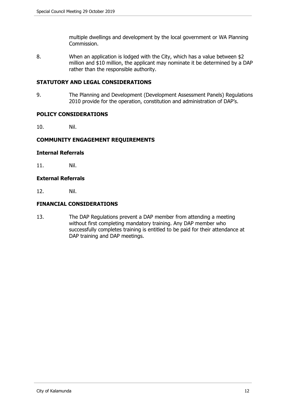multiple dwellings and development by the local government or WA Planning Commission.

8. When an application is lodged with the City, which has a value between \$2 million and \$10 million, the applicant may nominate it be determined by a DAP rather than the responsible authority.

# **STATUTORY AND LEGAL CONSIDERATIONS**

9. The Planning and Development (Development Assessment Panels) Regulations 2010 provide for the operation, constitution and administration of DAP's.

# **POLICY CONSIDERATIONS**

10. Nil.

# **COMMUNITY ENGAGEMENT REQUIREMENTS**

# **Internal Referrals**

11. Nil.

# **External Referrals**

12. Nil.

# **FINANCIAL CONSIDERATIONS**

13. The DAP Regulations prevent a DAP member from attending a meeting without first completing mandatory training. Any DAP member who successfully completes training is entitled to be paid for their attendance at DAP training and DAP meetings.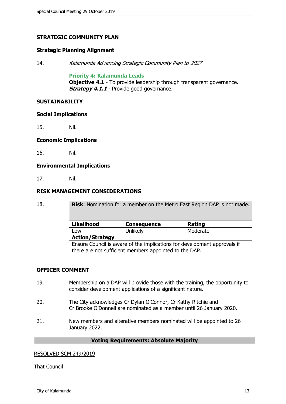# **STRATEGIC COMMUNITY PLAN**

# **Strategic Planning Alignment**

14. *Kalamunda Advancing Strategic Community Plan to 2027*

#### **Priority 4: Kalamunda Leads**

**Objective 4.1** - To provide leadership through transparent governance. **Strategy 4.1.1** - Provide good governance.

# **SUSTAINABILITY**

#### **Social Implications**

15. Nil.

## **Economic Implications**

16. Nil.

# **Environmental Implications**

17. Nil.

## **RISK MANAGEMENT CONSIDERATIONS**

18. **Risk**: Nomination for a member on the Metro East Region DAP is not made. **Likelihood Consequence Rating** Low | Unlikely | Moderate **Action/Strategy** Ensure Council is aware of the implications for development approvals if there are not sufficient members appointed to the DAP.

# **OFFICER COMMENT**

- 19. Membership on a DAP will provide those with the training, the opportunity to consider development applications of a significant nature.
- 20. The City acknowledges Cr Dylan O'Connor, Cr Kathy Ritchie and Cr Brooke O'Donnell are nominated as a member until 26 January 2020.
- 21. New members and alterative members nominated will be appointed to 26 January 2022.

# **Voting Requirements: Absolute Majority**

#### RESOLVED SCM 249/2019

That Council: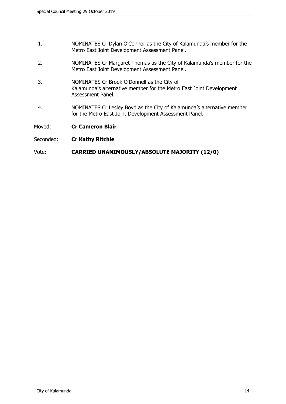- 1. NOMINATES Cr Dylan O'Connor as the City of Kalamunda's member for the Metro East Joint Development Assessment Panel.
- 2. NOMINATES Cr Margaret Thomas as the City of Kalamunda's member for the Metro East Joint Development Assessment Panel.
- 3. NOMINATES Cr Brook O'Donnell as the City of Kalamunda's alternative member for the Metro East Joint Development Assessment Panel.
- 4. NOMINATES Cr Lesley Boyd as the City of Kalamunda's alternative member for the Metro East Joint Development Assessment Panel.

Moved: **Cr Cameron Blair**

Seconded: **Cr Kathy Ritchie**

# Vote: **CARRIED UNANIMOUSLY/ABSOLUTE MAJORITY (12/0)**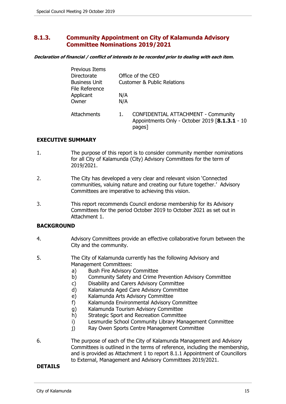# <span id="page-14-0"></span>**8.1.3. Community Appointment on City of Kalamunda Advisory Committee Nominations 2019/2021**

*Declaration of financial / conflict of interests to be recorded prior to dealing with each item.*

| <b>Previous Items</b><br>Directorate<br><b>Business Unit</b><br>File Reference | Office of the CEO<br><b>Customer &amp; Public Relations</b> |                                                                                                        |  |  |
|--------------------------------------------------------------------------------|-------------------------------------------------------------|--------------------------------------------------------------------------------------------------------|--|--|
| Applicant<br>Owner                                                             | N/A<br>N/A                                                  |                                                                                                        |  |  |
| Attachments                                                                    |                                                             | <b>CONFIDENTIAL ATTACHMENT - Community</b><br>Appointments Only - October 2019 [8.1.3.1 - 10<br>pages] |  |  |

# **EXECUTIVE SUMMARY**

- 1. The purpose of this report is to consider community member nominations for all City of Kalamunda (City) Advisory Committees for the term of 2019/2021.
- 2. The City has developed a very clear and relevant vision 'Connected communities, valuing nature and creating our future together.' Advisory Committees are imperative to achieving this vision.
- 3. This report recommends Council endorse membership for its Advisory Committees for the period October 2019 to October 2021 as set out in Attachment 1.

# **BACKGROUND**

- 4. Advisory Committees provide an effective collaborative forum between the City and the community.
- 5. The City of Kalamunda currently has the following Advisory and Management Committees:
	- a) Bush Fire Advisory Committee
	- b) Community Safety and Crime Prevention Advisory Committee
	- c) Disability and Carers Advisory Committee
	- d) Kalamunda Aged Care Advisory Committee
	- e) Kalamunda Arts Advisory Committee
	- f) Kalamunda Environmental Advisory Committee
	- g) Kalamunda Tourism Advisory Committee
	- h) Strategic Sport and Recreation Committee
	- i) Lesmurdie School Community Library Management Committee
	- j) Ray Owen Sports Centre Management Committee
- 6. The purpose of each of the City of Kalamunda Management and Advisory Committees is outlined in the terms of reference, including the membership, and is provided as Attachment 1 to report 8.1.1 Appointment of Councillors to External, Management and Advisory Committees 2019/2021.

# **DETAILS**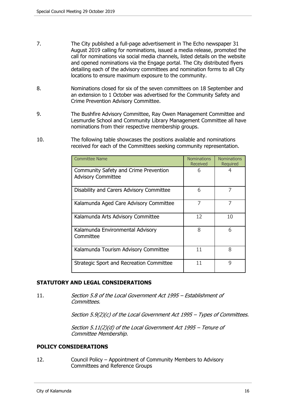- 7. The City published a full-page advertisement in The Echo newspaper 31 August 2019 calling for nominations, issued a media release, promoted the call for nominations via social media channels, listed details on the website and opened nominations via the Engage portal. The City distributed flyers detailing each of the advisory committees and nomination forms to all City locations to ensure maximum exposure to the community.
- 8. Nominations closed for six of the seven committees on 18 September and an extension to 1 October was advertised for the Community Safety and Crime Prevention Advisory Committee.
- 9. The Bushfire Advisory Committee, Ray Owen Management Committee and Lesmurdie School and Community Library Management Committee all have nominations from their respective membership groups.
- 10. The following table showcases the positions available and nominations received for each of the Committees seeking community representation.

| <b>Committee Name</b>                                              | <b>Nominations</b><br><b>Received</b> | <b>Nominations</b><br>Required |
|--------------------------------------------------------------------|---------------------------------------|--------------------------------|
| Community Safety and Crime Prevention<br><b>Advisory Committee</b> | 6                                     |                                |
| Disability and Carers Advisory Committee                           | 6                                     | 7                              |
| Kalamunda Aged Care Advisory Committee                             | 7                                     | 7                              |
| Kalamunda Arts Advisory Committee                                  | 12                                    | 10                             |
| Kalamunda Environmental Advisory<br>Committee                      | 8                                     | 6                              |
| Kalamunda Tourism Advisory Committee                               | 11                                    | 8                              |
| Strategic Sport and Recreation Committee                           | 11                                    | 9                              |

# **STATUTORY AND LEGAL CONSIDERATIONS**

11. *Section 5.8 of the Local Government Act 1995 – Establishment of Committees.*

*Section 5.9(2)(c) of the Local Government Act 1995 – Types of Committees.*

*Section 5.11(2)(d) of the Local Government Act 1995 – Tenure of Committee Membership.*

# **POLICY CONSIDERATIONS**

12. Council Policy – Appointment of Community Members to Advisory Committees and Reference Groups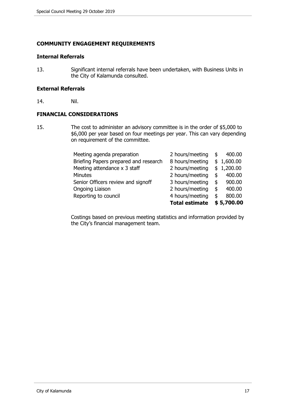# **COMMUNITY ENGAGEMENT REQUIREMENTS**

# **Internal Referrals**

13. Significant internal referrals have been undertaken, with Business Units in the City of Kalamunda consulted.

## **External Referrals**

14. Nil.

# **FINANCIAL CONSIDERATIONS**

15. The cost to administer an advisory committee is in the order of \$5,000 to \$6,000 per year based on four meetings per year. This can vary depending on requirement of the committee.

| Meeting agenda preparation            | 2 hours/meeting       | \$<br>400.00 |
|---------------------------------------|-----------------------|--------------|
| Briefing Papers prepared and research | 8 hours/meeting       | \$1,600.00   |
| Meeting attendance x 3 staff          | 2 hours/meeting       | \$1,200.00   |
| <b>Minutes</b>                        | 2 hours/meeting       | \$<br>400.00 |
| Senior Officers review and signoff    | 3 hours/meeting       | \$<br>900.00 |
| Ongoing Liaison                       | 2 hours/meeting       | \$<br>400.00 |
| Reporting to council                  | 4 hours/meeting       | \$<br>800.00 |
|                                       | <b>Total estimate</b> | \$5,700.00   |

Costings based on previous meeting statistics and information provided by the City's financial management team.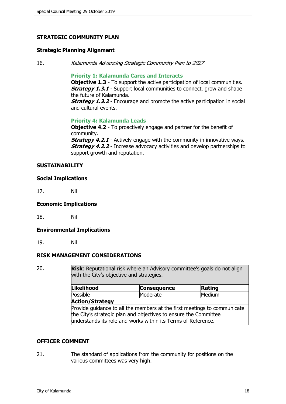# **STRATEGIC COMMUNITY PLAN**

### **Strategic Planning Alignment**

16. *Kalamunda Advancing Strategic Community Plan to 2027*

#### **Priority 1: Kalamunda Cares and Interacts**

**Objective 1.3** - To support the active participation of local communities. **Strategy 1.3.1** - Support local communities to connect, grow and shape the future of Kalamunda.

**Strategy 1.3.2** - Encourage and promote the active participation in social and cultural events.

## **Priority 4: Kalamunda Leads**

**Objective 4.2** - To proactively engage and partner for the benefit of community.

*Strategy 4.2.1* - Actively engage with the community in innovative ways. **Strategy 4.2.2** - Increase advocacy activities and develop partnerships to support growth and reputation.

# **SUSTAINABILITY**

## **Social Implications**

17. Nil

# **Economic Implications**

18. Nil

#### **Environmental Implications**

19. Nil

# **RISK MANAGEMENT CONSIDERATIONS**

20. **Risk**: Reputational risk where an Advisory committee's goals do not align with the City's objective and strategies.

| Likelihood                                                               | <b>Consequence</b> | Rating |
|--------------------------------------------------------------------------|--------------------|--------|
| Possible                                                                 | Moderate           | Medium |
| <b>Action/Strategy</b>                                                   |                    |        |
| Provide guidance to all the members at the first meetings to communicate |                    |        |
| the City's strategic plan and objectives to ensure the Committee         |                    |        |
| understands its role and works within its Terms of Reference.            |                    |        |

# **OFFICER COMMENT**

21. The standard of applications from the community for positions on the various committees was very high.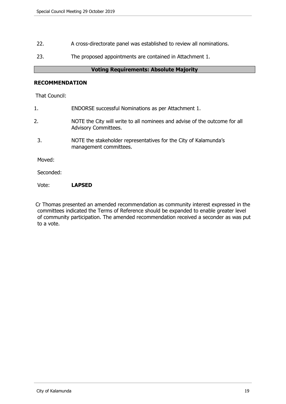- 22. A cross-directorate panel was established to review all nominations.
- 23. The proposed appointments are contained in Attachment 1.

# **Voting Requirements: Absolute Majority**

# **RECOMMENDATION**

That Council:

| 1.        | ENDORSE successful Nominations as per Attachment 1.                                                       |
|-----------|-----------------------------------------------------------------------------------------------------------|
| 2.        | NOTE the City will write to all nominees and advise of the outcome for all<br><b>Advisory Committees.</b> |
| 3.        | NOTE the stakeholder representatives for the City of Kalamunda's<br>management committees.                |
| Moved:    |                                                                                                           |
| Seconded: |                                                                                                           |
|           |                                                                                                           |

# Vote: **LAPSED**

Cr Thomas presented an amended recommendation as community interest expressed in the committees indicated the Terms of Reference should be expanded to enable greater level of community participation. The amended recommendation received a seconder as was put to a vote.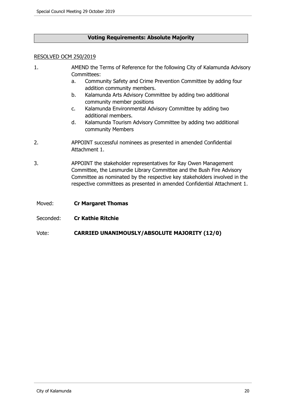# **Voting Requirements: Absolute Majority**

## RESOLVED OCM 250/2019

- 1. AMEND the Terms of Reference for the following City of Kalamunda Advisory Committees:
	- a. Community Safety and Crime Prevention Committee by adding four addition community members.
	- b. Kalamunda Arts Advisory Committee by adding two additional community member positions
	- c. Kalamunda Environmental Advisory Committee by adding two additional members.
	- d. Kalamunda Tourism Advisory Committee by adding two additional community Members
- 2. APPOINT successful nominees as presented in amended Confidential Attachment 1.
- 3. APPOINT the stakeholder representatives for Ray Owen Management Committee, the Lesmurdie Library Committee and the Bush Fire Advisory Committee as nominated by the respective key stakeholders involved in the respective committees as presented in amended Confidential Attachment 1.
- Moved: **Cr Margaret Thomas**
- Seconded: **Cr Kathie Ritchie**
- Vote: **CARRIED UNANIMOUSLY/ABSOLUTE MAJORITY (12/0)**